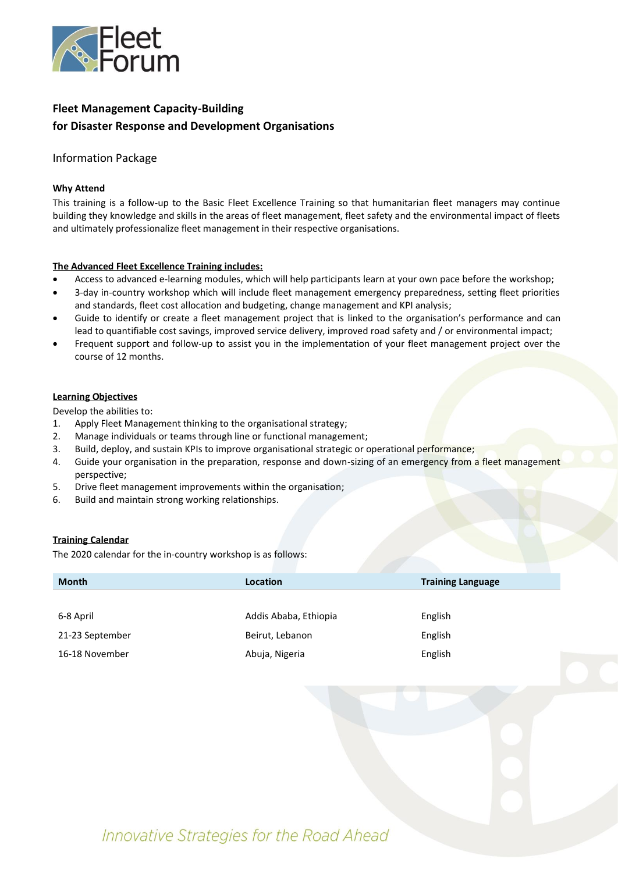

## **Fleet Management Capacity-Building for Disaster Response and Development Organisations**

### Information Package

### **Why Attend**

This training is a follow-up to the Basic Fleet Excellence Training so that humanitarian fleet managers may continue building they knowledge and skills in the areas of fleet management, fleet safety and the environmental impact of fleets and ultimately professionalize fleet management in their respective organisations.

### **The Advanced Fleet Excellence Training includes:**

- Access to advanced e-learning modules, which will help participants learn at your own pace before the workshop;
- 3-day in-country workshop which will include fleet management emergency preparedness, setting fleet priorities and standards, fleet cost allocation and budgeting, change management and KPI analysis;
- Guide to identify or create a fleet management project that is linked to the organisation's performance and can lead to quantifiable cost savings, improved service delivery, improved road safety and / or environmental impact;
- Frequent support and follow-up to assist you in the implementation of your fleet management project over the course of 12 months.

### **Learning Objectives**

Develop the abilities to:

- 1. Apply Fleet Management thinking to the organisational strategy;
- 2. Manage individuals or teams through line or functional management;
- 3. Build, deploy, and sustain KPIs to improve organisational strategic or operational performance;
- 4. Guide your organisation in the preparation, response and down-sizing of an emergency from a fleet management perspective;
- 5. Drive fleet management improvements within the organisation;
- 6. Build and maintain strong working relationships.

#### **Training Calendar**

The 2020 calendar for the in-country workshop is as follows:

| <b>Month</b>    | Location              | <b>Training Language</b> |
|-----------------|-----------------------|--------------------------|
|                 |                       |                          |
| 6-8 April       | Addis Ababa, Ethiopia | English                  |
| 21-23 September | Beirut, Lebanon       | English                  |
| 16-18 November  | Abuja, Nigeria        | English                  |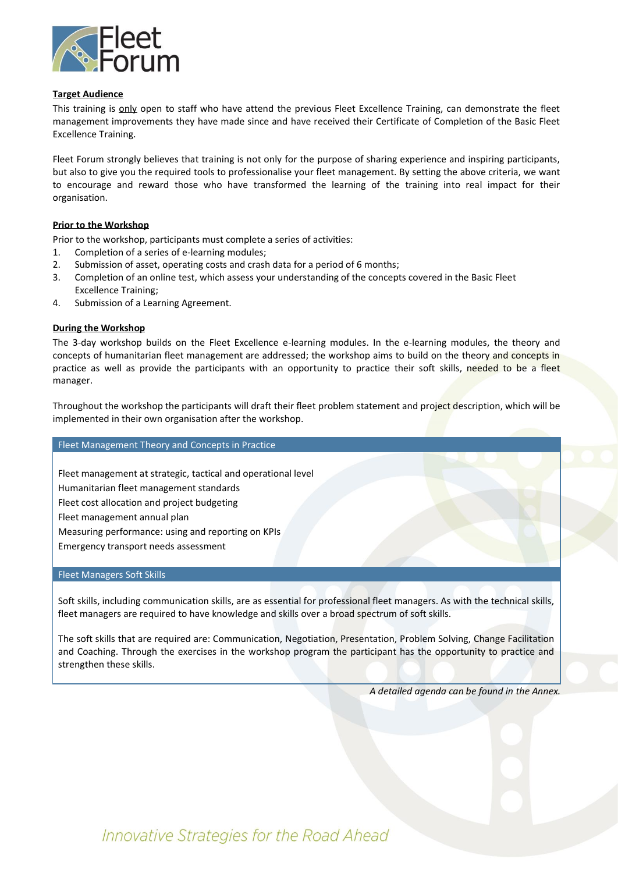

#### **Target Audience**

This training is only open to staff who have attend the previous Fleet Excellence Training, can demonstrate the fleet management improvements they have made since and have received their Certificate of Completion of the Basic Fleet Excellence Training.

Fleet Forum strongly believes that training is not only for the purpose of sharing experience and inspiring participants, but also to give you the required tools to professionalise your fleet management. By setting the above criteria, we want to encourage and reward those who have transformed the learning of the training into real impact for their organisation.

#### **Prior to the Workshop**

Prior to the workshop, participants must complete a series of activities:

- 1. Completion of a series of e-learning modules;
- 2. Submission of asset, operating costs and crash data for a period of 6 months;
- 3. Completion of an online test, which assess your understanding of the concepts covered in the Basic Fleet Excellence Training;
- 4. Submission of a Learning Agreement.

#### **During the Workshop**

The 3-day workshop builds on the Fleet Excellence e-learning modules. In the e-learning modules, the theory and concepts of humanitarian fleet management are addressed; the workshop aims to build on the theory and concepts in practice as well as provide the participants with an opportunity to practice their soft skills, needed to be a fleet manager.

Throughout the workshop the participants will draft their fleet problem statement and project description, which will be implemented in their own organisation after the workshop.

#### Fleet Management Theory and Concepts in Practice

Fleet management at strategic, tactical and operational level Humanitarian fleet management standards Fleet cost allocation and project budgeting Fleet management annual plan Measuring performance: using and reporting on KPIs Emergency transport needs assessment

#### Fleet Managers Soft Skills

Soft skills, including communication skills, are as essential for professional fleet managers. As with the technical skills, fleet managers are required to have knowledge and skills over a broad spectrum of soft skills.

The soft skills that are required are: Communication, Negotiation, Presentation, Problem Solving, Change Facilitation and Coaching. Through the exercises in the workshop program the participant has the opportunity to practice and strengthen these skills.

*A detailed agenda can be found in the Annex.*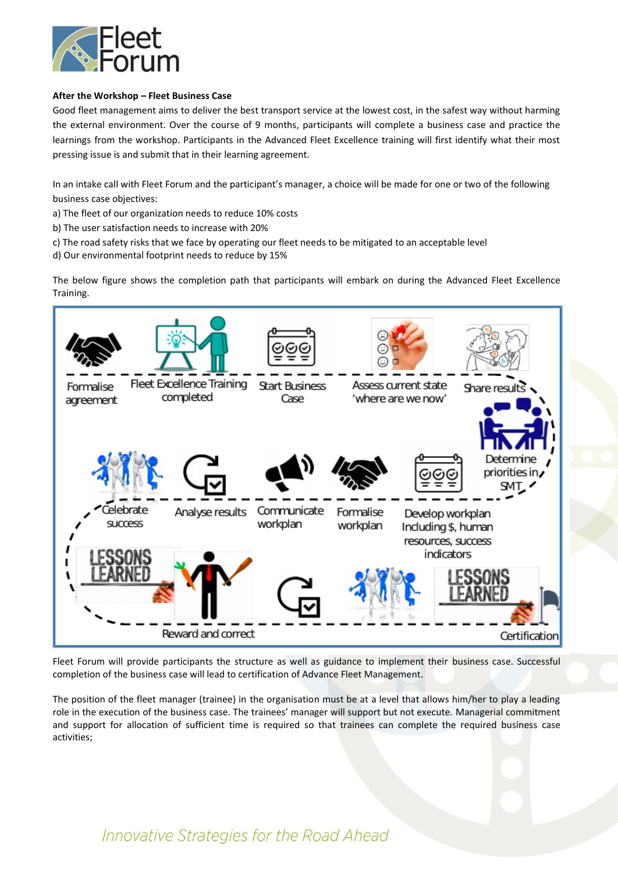

#### **After the Workshop – Fleet Business Case**

Good fleet management aims to deliver the best transport service at the lowest cost, in the safest way without harming the external environment. Over the course of 9 months, participants will complete a business case and practice the learnings from the workshop. Participants in the Advanced Fleet Excellence training will first identify what their most pressing issue is and submit that in their learning agreement.

In an intake call with Fleet Forum and the participant's manager, a choice will be made for one or two of the following business case objectives:

- a) The fleet of our organization needs to reduce 10% costs
- b) The user satisfaction needs to increase with 20%
- c) The road safety risks that we face by operating our fleet needs to be mitigated to an acceptable level
- d) Our environmental footprint needs to reduce by 15%

The below figure shows the completion path that participants will embark on during the Advanced Fleet Excellence Training.



Fleet Forum will provide participants the structure as well as guidance to implement their business case. Successful completion of the business case will lead to certification of Advance Fleet Management.

The position of the fleet manager (trainee) in the organisation must be at a level that allows him/her to play a leading role in the execution of the business case. The trainees' manager will support but not execute. Managerial commitment and support for allocation of sufficient time is required so that trainees can complete the required business case activities;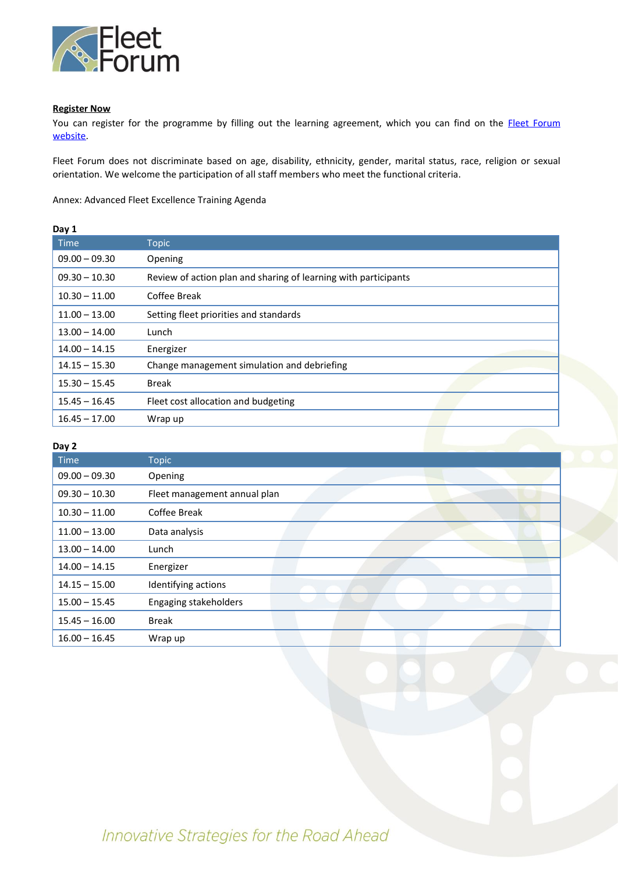

#### **Register Now**

You can register for the programme by filling out the learning agreement, which you can find on the **Fleet Forum** [website.](http://www.fleetforum.org/trainings-and-workshops)

Fleet Forum does not discriminate based on age, disability, ethnicity, gender, marital status, race, religion or sexual orientation. We welcome the participation of all staff members who meet the functional criteria.

Annex: Advanced Fleet Excellence Training Agenda

#### **Day 1**

| wu ya           |                                                                 |
|-----------------|-----------------------------------------------------------------|
| <b>Time</b>     | <b>Topic</b>                                                    |
| $09.00 - 09.30$ | Opening                                                         |
| $09.30 - 10.30$ | Review of action plan and sharing of learning with participants |
| $10.30 - 11.00$ | Coffee Break                                                    |
| $11.00 - 13.00$ | Setting fleet priorities and standards                          |
| $13.00 - 14.00$ | Lunch                                                           |
| $14.00 - 14.15$ | Energizer                                                       |
| $14.15 - 15.30$ | Change management simulation and debriefing                     |
| $15.30 - 15.45$ | <b>Break</b>                                                    |
| $15.45 - 16.45$ | Fleet cost allocation and budgeting                             |
| $16.45 - 17.00$ | Wrap up                                                         |

#### **Day 2**

| . .<br><b>Time</b> | <b>Topic</b>                 |
|--------------------|------------------------------|
| $09.00 - 09.30$    | Opening                      |
| $09.30 - 10.30$    | Fleet management annual plan |
| $10.30 - 11.00$    | Coffee Break                 |
| $11.00 - 13.00$    | Data analysis                |
| $13.00 - 14.00$    | Lunch                        |
| $14.00 - 14.15$    | Energizer                    |
| $14.15 - 15.00$    | Identifying actions          |
| $15.00 - 15.45$    | Engaging stakeholders        |
| $15.45 - 16.00$    | <b>Break</b>                 |
| $16.00 - 16.45$    | Wrap up                      |